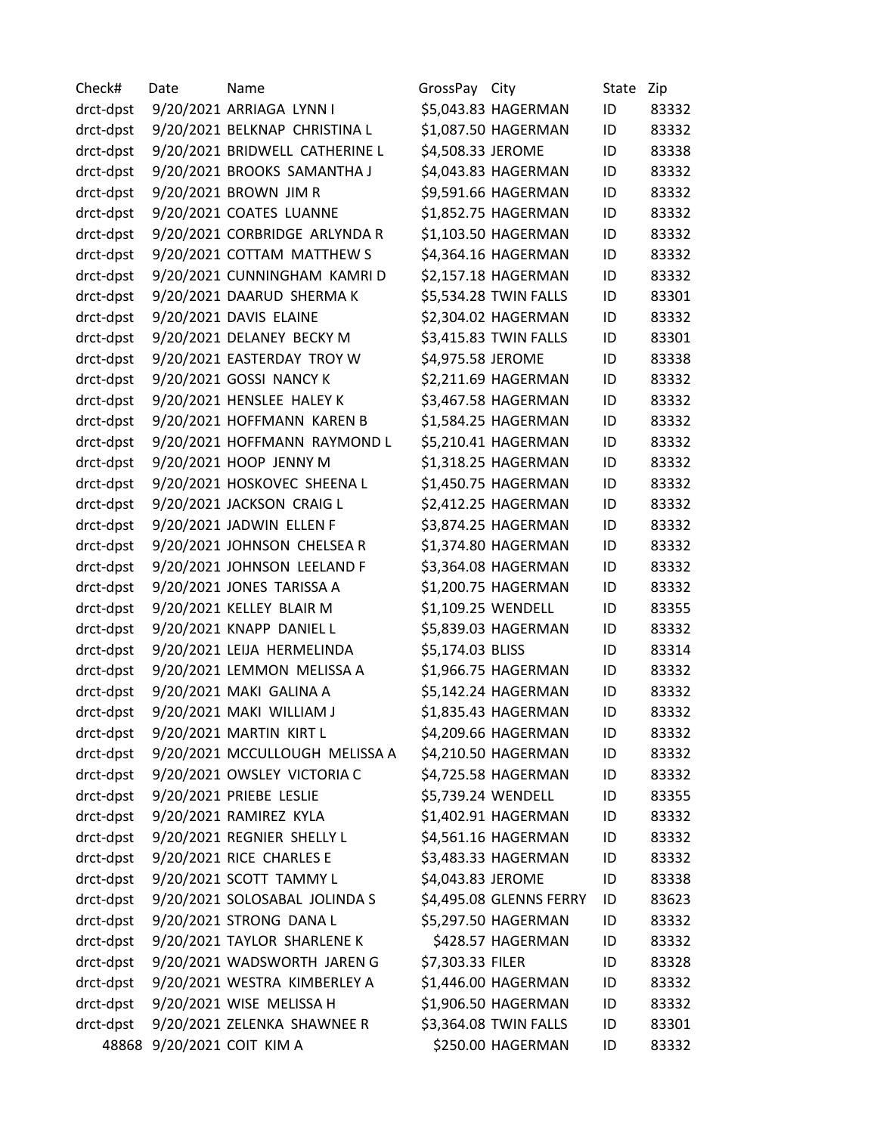| Check#    | Date | Name                           | GrossPay City     |                         | State | Zip   |
|-----------|------|--------------------------------|-------------------|-------------------------|-------|-------|
| drct-dpst |      | 9/20/2021 ARRIAGA LYNN I       |                   | \$5,043.83 HAGERMAN     | ID    | 83332 |
| drct-dpst |      | 9/20/2021 BELKNAP CHRISTINA L  |                   | \$1,087.50 HAGERMAN     | ID    | 83332 |
| drct-dpst |      | 9/20/2021 BRIDWELL CATHERINE L | \$4,508.33 JEROME |                         | ID    | 83338 |
| drct-dpst |      | 9/20/2021 BROOKS SAMANTHA J    |                   | \$4,043.83 HAGERMAN     | ID    | 83332 |
| drct-dpst |      | 9/20/2021 BROWN JIM R          |                   | \$9,591.66 HAGERMAN     | ID    | 83332 |
| drct-dpst |      | 9/20/2021 COATES LUANNE        |                   | \$1,852.75 HAGERMAN     | ID    | 83332 |
| drct-dpst |      | 9/20/2021 CORBRIDGE ARLYNDA R  |                   | \$1,103.50 HAGERMAN     | ID    | 83332 |
| drct-dpst |      | 9/20/2021 COTTAM MATTHEW S     |                   | \$4,364.16 HAGERMAN     | ID    | 83332 |
| drct-dpst |      | 9/20/2021 CUNNINGHAM KAMRI D   |                   | \$2,157.18 HAGERMAN     | ID    | 83332 |
| drct-dpst |      | 9/20/2021 DAARUD SHERMA K      |                   | \$5,534.28 TWIN FALLS   | ID    | 83301 |
| drct-dpst |      | 9/20/2021 DAVIS ELAINE         |                   | \$2,304.02 HAGERMAN     | ID    | 83332 |
| drct-dpst |      | 9/20/2021 DELANEY BECKY M      |                   | \$3,415.83 TWIN FALLS   | ID    | 83301 |
| drct-dpst |      | 9/20/2021 EASTERDAY TROY W     | \$4,975.58 JEROME |                         | ID    | 83338 |
| drct-dpst |      | 9/20/2021 GOSSI NANCY K        |                   | \$2,211.69 HAGERMAN     | ID    | 83332 |
| drct-dpst |      | 9/20/2021 HENSLEE HALEY K      |                   | \$3,467.58 HAGERMAN     | ID    | 83332 |
| drct-dpst |      | 9/20/2021 HOFFMANN KAREN B     |                   | \$1,584.25 HAGERMAN     | ID    | 83332 |
| drct-dpst |      | 9/20/2021 HOFFMANN RAYMOND L   |                   | \$5,210.41 HAGERMAN     | ID    | 83332 |
| drct-dpst |      | 9/20/2021 HOOP JENNY M         |                   | \$1,318.25 HAGERMAN     | ID    | 83332 |
| drct-dpst |      | 9/20/2021 HOSKOVEC SHEENA L    |                   | \$1,450.75 HAGERMAN     | ID    | 83332 |
| drct-dpst |      | 9/20/2021 JACKSON CRAIG L      |                   | \$2,412.25 HAGERMAN     | ID    | 83332 |
| drct-dpst |      | 9/20/2021 JADWIN ELLEN F       |                   | \$3,874.25 HAGERMAN     | ID    | 83332 |
| drct-dpst |      | 9/20/2021 JOHNSON CHELSEA R    |                   | \$1,374.80 HAGERMAN     | ID    | 83332 |
| drct-dpst |      | 9/20/2021 JOHNSON LEELAND F    |                   | \$3,364.08 HAGERMAN     | ID    | 83332 |
| drct-dpst |      | 9/20/2021 JONES TARISSA A      |                   | \$1,200.75 HAGERMAN     | ID    | 83332 |
| drct-dpst |      | 9/20/2021 KELLEY BLAIR M       |                   | \$1,109.25 WENDELL      | ID    | 83355 |
| drct-dpst |      | 9/20/2021 KNAPP DANIEL L       |                   | \$5,839.03 HAGERMAN     | ID    | 83332 |
| drct-dpst |      | 9/20/2021 LEIJA HERMELINDA     | \$5,174.03 BLISS  |                         | ID    | 83314 |
| drct-dpst |      | 9/20/2021 LEMMON MELISSA A     |                   | \$1,966.75 HAGERMAN     | ID    | 83332 |
| drct-dpst |      | 9/20/2021 MAKI GALINA A        |                   | \$5,142.24 HAGERMAN     | ID    | 83332 |
| drct-dpst |      | 9/20/2021 MAKI WILLIAM J       |                   | \$1,835.43 HAGERMAN     | ID    | 83332 |
| drct-dpst |      | 9/20/2021 MARTIN KIRT L        |                   | \$4,209.66 HAGERMAN     | ID    | 83332 |
| drct-dpst |      | 9/20/2021 MCCULLOUGH MELISSA A |                   | \$4,210.50 HAGERMAN     | ID    | 83332 |
| drct-dpst |      | 9/20/2021 OWSLEY VICTORIA C    |                   | \$4,725.58 HAGERMAN     | ID    | 83332 |
| drct-dpst |      | 9/20/2021 PRIEBE LESLIE        |                   | \$5,739.24 WENDELL      | ID    | 83355 |
| drct-dpst |      | 9/20/2021 RAMIREZ KYLA         |                   | \$1,402.91 HAGERMAN     | ID    | 83332 |
| drct-dpst |      | 9/20/2021 REGNIER SHELLY L     |                   | \$4,561.16 HAGERMAN     | ID    | 83332 |
| drct-dpst |      | 9/20/2021 RICE CHARLES E       |                   | \$3,483.33 HAGERMAN     | ID    | 83332 |
| drct-dpst |      | 9/20/2021 SCOTT TAMMY L        | \$4,043.83 JEROME |                         | ID    | 83338 |
| drct-dpst |      | 9/20/2021 SOLOSABAL JOLINDA S  |                   | \$4,495.08 GLENNS FERRY | ID    | 83623 |
| drct-dpst |      | 9/20/2021 STRONG DANA L        |                   | \$5,297.50 HAGERMAN     | ID    | 83332 |
| drct-dpst |      | 9/20/2021 TAYLOR SHARLENE K    |                   | \$428.57 HAGERMAN       | ID    | 83332 |
| drct-dpst |      | 9/20/2021 WADSWORTH JAREN G    | \$7,303.33 FILER  |                         | ID    | 83328 |
| drct-dpst |      | 9/20/2021 WESTRA KIMBERLEY A   |                   | \$1,446.00 HAGERMAN     | ID    | 83332 |
| drct-dpst |      | 9/20/2021 WISE MELISSA H       |                   | \$1,906.50 HAGERMAN     | ID    | 83332 |
| drct-dpst |      | 9/20/2021 ZELENKA SHAWNEE R    |                   | \$3,364.08 TWIN FALLS   | ID    | 83301 |
| 48868     |      | 9/20/2021 COIT KIM A           |                   | \$250.00 HAGERMAN       | ID    | 83332 |